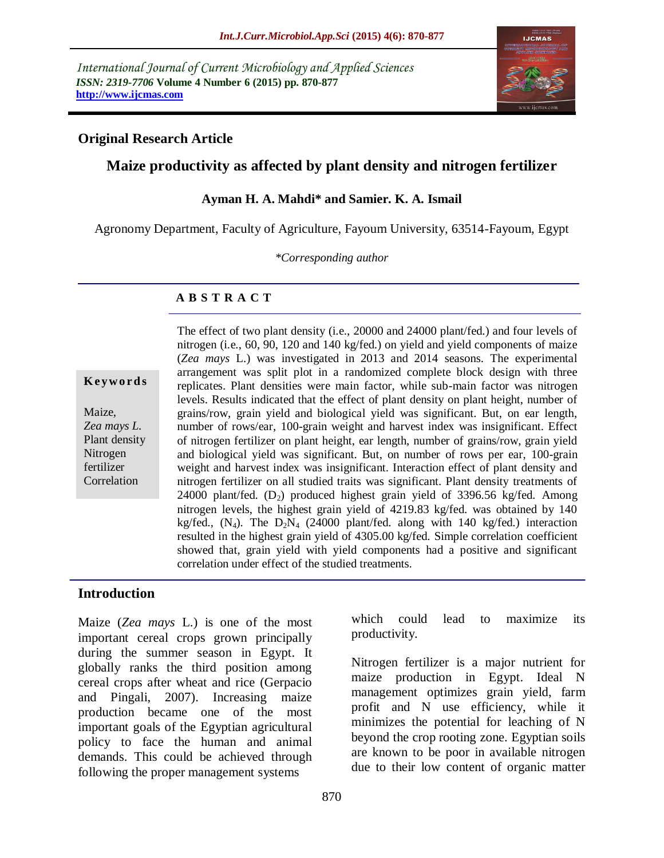*International Journal of Current Microbiology and Applied Sciences ISSN: 2319-7706* **Volume 4 Number 6 (2015) pp. 870-877 http://www.ijcmas.com**



### **Original Research Article**

## **Maize productivity as affected by plant density and nitrogen fertilizer**

#### **Ayman H. A. Mahdi\* and Samier. K. A. Ismail**

Agronomy Department, Faculty of Agriculture, Fayoum University, 63514-Fayoum, Egypt

*\*Corresponding author*

#### **A B S T R A C T**

**K ey w o rd s**

Maize, *Zea mays L.* Plant density Nitrogen fertilizer **Correlation** 

The effect of two plant density (i.e., 20000 and 24000 plant/fed.) and four levels of nitrogen (i.e., 60, 90, 120 and 140 kg/fed.) on yield and yield components of maize (*Zea mays* L.) was investigated in 2013 and 2014 seasons. The experimental arrangement was split plot in a randomized complete block design with three replicates. Plant densities were main factor, while sub-main factor was nitrogen levels. Results indicated that the effect of plant density on plant height, number of grains/row, grain yield and biological yield was significant. But, on ear length, number of rows/ear, 100-grain weight and harvest index was insignificant. Effect of nitrogen fertilizer on plant height, ear length, number of grains/row, grain yield and biological yield was significant. But, on number of rows per ear, 100-grain weight and harvest index was insignificant. Interaction effect of plant density and nitrogen fertilizer on all studied traits was significant. Plant density treatments of 24000 plant/fed.  $(D_2)$  produced highest grain yield of 3396.56 kg/fed. Among nitrogen levels, the highest grain yield of 4219.83 kg/fed. was obtained by 140 kg/fed.,  $(N_4)$ . The  $D_2N_4$  (24000 plant/fed. along with 140 kg/fed.) interaction resulted in the highest grain yield of 4305.00 kg/fed. Simple correlation coefficient showed that, grain yield with yield components had a positive and significant correlation under effect of the studied treatments.

#### **Introduction**

Maize (*Zea mays* L.) is one of the most important cereal crops grown principally during the summer season in Egypt. It globally ranks the third position among cereal crops after wheat and rice (Gerpacio and Pingali, 2007). Increasing maize production became one of the most important goals of the Egyptian agricultural policy to face the human and animal demands. This could be achieved through following the proper management systems

which could lead to maximize its productivity.

Nitrogen fertilizer is a major nutrient for maize production in Egypt. Ideal N management optimizes grain yield, farm profit and N use efficiency, while it minimizes the potential for leaching of N beyond the crop rooting zone. Egyptian soils are known to be poor in available nitrogen due to their low content of organic matter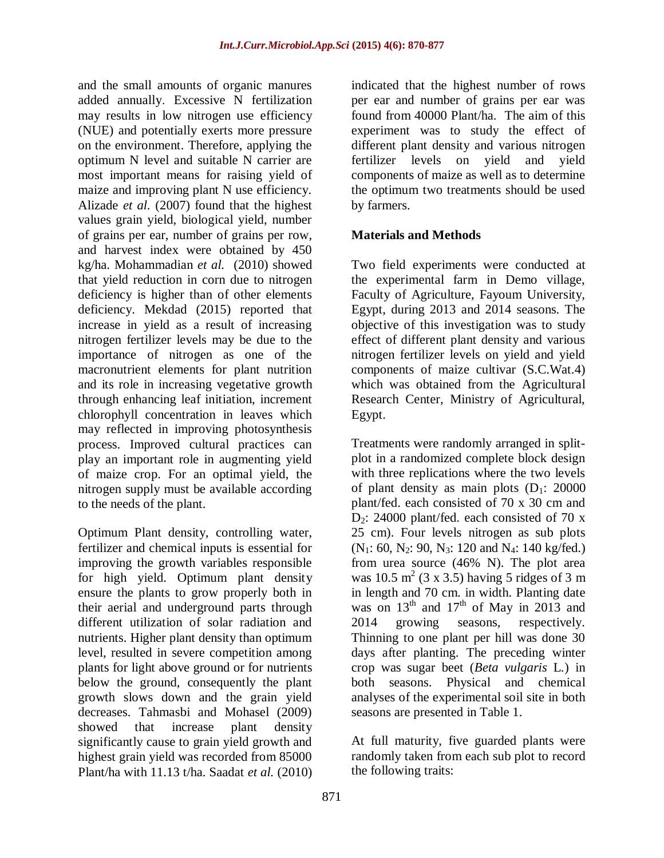and the small amounts of organic manures added annually. Excessive N fertilization may results in low nitrogen use efficiency (NUE) and potentially exerts more pressure on the environment. Therefore, applying the optimum N level and suitable N carrier are most important means for raising yield of maize and improving plant N use efficiency. Alizade *et al.* (2007) found that the highest values grain yield, biological yield, number of grains per ear, number of grains per row, and harvest index were obtained by 450 kg/ha. Mohammadian *et al.* (2010) showed that yield reduction in corn due to nitrogen deficiency is higher than of other elements deficiency. Mekdad (2015) reported that increase in yield as a result of increasing nitrogen fertilizer levels may be due to the importance of nitrogen as one of the macronutrient elements for plant nutrition and its role in increasing vegetative growth through enhancing leaf initiation, increment chlorophyll concentration in leaves which may reflected in improving photosynthesis process. Improved cultural practices can play an important role in augmenting yield of maize crop. For an optimal yield, the nitrogen supply must be available according to the needs of the plant.

Optimum Plant density, controlling water, fertilizer and chemical inputs is essential for improving the growth variables responsible for high yield. Optimum plant density ensure the plants to grow properly both in their aerial and underground parts through different utilization of solar radiation and nutrients. Higher plant density than optimum level, resulted in severe competition among plants for light above ground or for nutrients below the ground, consequently the plant growth slows down and the grain yield decreases. Tahmasbi and Mohasel (2009) showed that increase plant density significantly cause to grain yield growth and highest grain yield was recorded from 85000 Plant/ha with 11.13 t/ha. Saadat *et al.* (2010)

indicated that the highest number of rows per ear and number of grains per ear was found from 40000 Plant/ha. The aim of this experiment was to study the effect of different plant density and various nitrogen fertilizer levels on yield and yield components of maize as well as to determine the optimum two treatments should be used by farmers.

## **Materials and Methods**

Two field experiments were conducted at the experimental farm in Demo village, Faculty of Agriculture, Fayoum University, Egypt, during 2013 and 2014 seasons. The objective of this investigation was to study effect of different plant density and various nitrogen fertilizer levels on yield and yield components of maize cultivar (S.C.Wat.4) which was obtained from the Agricultural Research Center, Ministry of Agricultural, Egypt.

Treatments were randomly arranged in splitplot in a randomized complete block design with three replications where the two levels of plant density as main plots  $(D_1: 20000)$ plant/fed. each consisted of 70 x 30 cm and  $D_2$ : 24000 plant/fed. each consisted of 70 x 25 cm). Four levels nitrogen as sub plots  $(N_1: 60, N_2: 90, N_3: 120 \text{ and } N_4: 140 \text{ kg/fed.})$ from urea source (46% N). The plot area was 10.5 m<sup>2</sup> (3 x 3.5) having 5 ridges of 3 m in length and 70 cm. in width. Planting date was on  $13<sup>th</sup>$  and  $17<sup>th</sup>$  of May in 2013 and 2014 growing seasons, respectively. Thinning to one plant per hill was done 30 days after planting. The preceding winter crop was sugar beet (*Beta vulgaris* L*.*) in both seasons. Physical and chemical analyses of the experimental soil site in both seasons are presented in Table 1.

At full maturity, five guarded plants were randomly taken from each sub plot to record the following traits: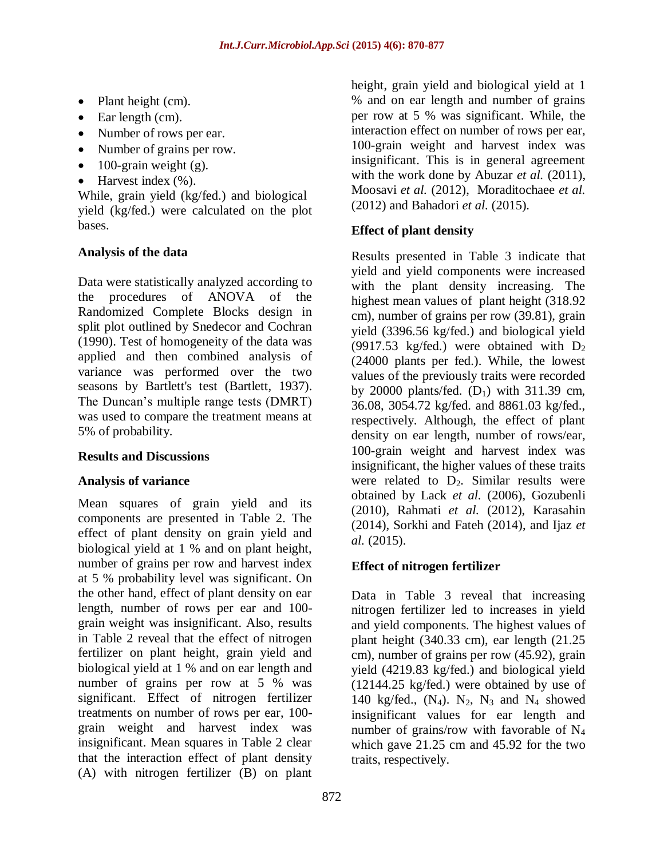- Plant height (cm).
- $\bullet$  Ear length (cm).
- Number of rows per ear.
- Number of grains per row.
- $\bullet$  100-grain weight (g).
- $\bullet$  Harvest index  $(\%).$

While, grain yield (kg/fed.) and biological yield (kg/fed.) were calculated on the plot bases.

## **Analysis of the data**

Data were statistically analyzed according to the procedures of ANOVA of the Randomized Complete Blocks design in split plot outlined by Snedecor and Cochran (1990). Test of homogeneity of the data was applied and then combined analysis of variance was performed over the two seasons by Bartlett's test (Bartlett, 1937). The Duncan's multiple range tests (DMRT) was used to compare the treatment means at 5% of probability.

## **Results and Discussions**

## **Analysis of variance**

Mean squares of grain yield and its components are presented in Table 2. The effect of plant density on grain yield and biological yield at 1 % and on plant height, number of grains per row and harvest index at 5 % probability level was significant. On the other hand, effect of plant density on ear length, number of rows per ear and 100 grain weight was insignificant. Also, results in Table 2 reveal that the effect of nitrogen fertilizer on plant height, grain yield and biological yield at 1 % and on ear length and number of grains per row at 5 % was significant. Effect of nitrogen fertilizer treatments on number of rows per ear, 100 grain weight and harvest index was insignificant. Mean squares in Table 2 clear that the interaction effect of plant density (A) with nitrogen fertilizer (B) on plant

height, grain yield and biological yield at 1 % and on ear length and number of grains per row at 5 % was significant. While, the interaction effect on number of rows per ear, 100-grain weight and harvest index was insignificant. This is in general agreement with the work done by Abuzar *et al.* (2011), Moosavi *et al.* (2012), Moraditochaee *et al.* (2012) and Bahadori *et al.* (2015).

## **Effect of plant density**

Results presented in Table 3 indicate that yield and yield components were increased with the plant density increasing. The highest mean values of plant height (318.92 cm), number of grains per row (39.81), grain yield (3396.56 kg/fed.) and biological yield (9917.53 kg/fed.) were obtained with  $D_2$ (24000 plants per fed.). While, the lowest values of the previously traits were recorded by 20000 plants/fed.  $(D_1)$  with 311.39 cm, 36.08, 3054.72 kg/fed. and 8861.03 kg/fed., respectively. Although, the effect of plant density on ear length, number of rows/ear, 100-grain weight and harvest index was insignificant, the higher values of these traits were related to  $D_2$ . Similar results were obtained by Lack *et al.* (2006), Gozubenli (2010), Rahmati *et al.* (2012), Karasahin (2014), Sorkhi and Fateh (2014), and Ijaz *et al.* (2015).

# **Effect of nitrogen fertilizer**

Data in Table 3 reveal that increasing nitrogen fertilizer led to increases in yield and yield components. The highest values of plant height (340.33 cm), ear length (21.25 cm), number of grains per row (45.92), grain yield (4219.83 kg/fed.) and biological yield (12144.25 kg/fed.) were obtained by use of 140 kg/fed.,  $(N_4)$ .  $N_2$ ,  $N_3$  and  $N_4$  showed insignificant values for ear length and number of grains/row with favorable of  $N_4$ which gave 21.25 cm and 45.92 for the two traits, respectively.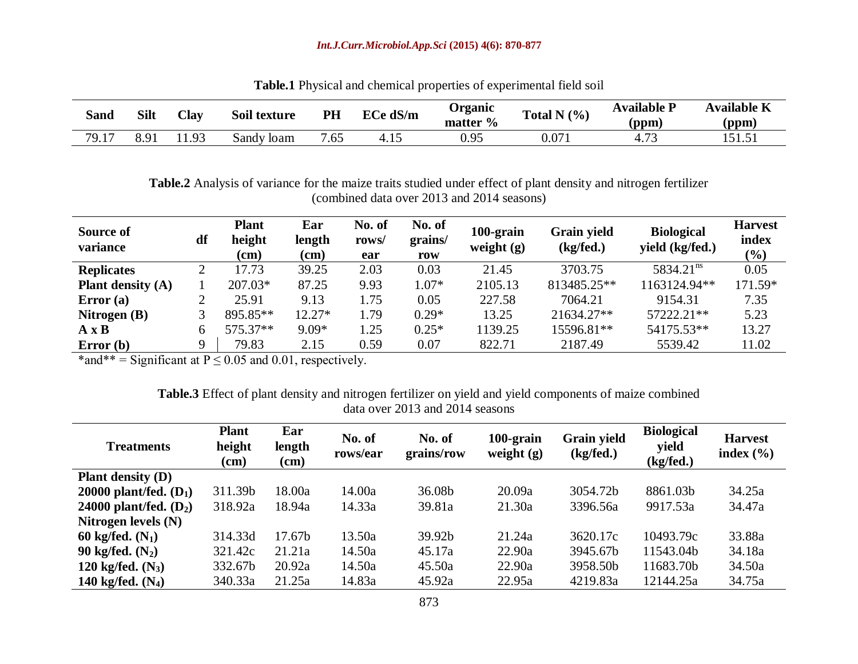#### *Int.J.Curr.Microbiol.App.Sci* **(2015) 4(6): 870-877**

| Sand  | <b>Silt</b> | Clav           | Soil texture | PH  | ECe dS/m | Organic<br>matter $\%$ | Total N $(\% )$ | <b>Available P</b><br>(ppm) | <b>Available K</b><br>(ppm) |
|-------|-------------|----------------|--------------|-----|----------|------------------------|-----------------|-----------------------------|-----------------------------|
| 79.17 | 8.91        | Q <sub>3</sub> | Sandy Ioam   | .65 | 4.1      | 0.95                   | 0.071           | 4.73                        | 151.51                      |

**Table.1** Physical and chemical properties of experimental field soil

**Table.2** Analysis of variance for the maize traits studied under effect of plant density and nitrogen fertilizer (combined data over 2013 and 2014 seasons)

| Source of<br>variance | df | <b>Plant</b><br>height<br>(cm) | Ear<br>length<br>$(cm)$ | No. of<br>rows/<br>ear | No. of<br>grains/<br>row | 100-grain<br>weight $(g)$ | <b>Grain yield</b><br>(kg/fed.) | <b>Biological</b><br>yield (kg/fed.) | <b>Harvest</b><br>index<br>(%) |
|-----------------------|----|--------------------------------|-------------------------|------------------------|--------------------------|---------------------------|---------------------------------|--------------------------------------|--------------------------------|
| <b>Replicates</b>     |    | 17.73                          | 39.25                   | 2.03                   | 0.03                     | 21.45                     | 3703.75                         | 5834.21 <sup>ns</sup>                | 0.05                           |
| Plant density $(A)$   |    | 207.03*                        | 87.25                   | 9.93                   | $1.07*$                  | 2105.13                   | 813485.25**                     | 1163124.94**                         | 171.59*                        |
| Error(a)              |    | 25.91                          | 9.13                    | .75                    | 0.05                     | 227.58                    | 7064.21                         | 9154.31                              | 7.35                           |
| Nitrogen $(B)$        |    | 895.85**                       | $12.27*$                | .79                    | $0.29*$                  | 13.25                     | 21634.27**                      | 57222.21**                           | 5.23                           |
| $A \times B$          |    | 575.37**                       | $9.09*$                 | $\frac{1.25}{2}$       | $0.25*$                  | 1139.25                   | 15596.81**                      | 54175.53**                           | 13.27                          |
| Error(b)              |    | 79.83                          | 2.15                    | 0.59                   | 0.07                     | 822.71                    | 2187.49                         | 5539.42                              | 11.02                          |

\*and\*\* = Significant at  $P \le 0.05$  and 0.01, respectively.

#### **Table.3** Effect of plant density and nitrogen fertilizer on yield and yield components of maize combined data over 2013 and 2014 seasons

| <b>Treatments</b>        | <b>Plant</b><br>height<br>(cm) | Ear<br>length<br>(cm) | No. of<br>rows/ear | No. of<br>grains/row | 100-grain<br>weight $(g)$ | <b>Grain yield</b><br>(kg/fed.) | <b>Biological</b><br>yield<br>(kg/fed.) | <b>Harvest</b><br>index $(\% )$ |
|--------------------------|--------------------------------|-----------------------|--------------------|----------------------|---------------------------|---------------------------------|-----------------------------------------|---------------------------------|
| <b>Plant density (D)</b> |                                |                       |                    |                      |                           |                                 |                                         |                                 |
| 20000 plant/fed. $(D_1)$ | 311.39b                        | 18.00a                | 14.00a             | 36.08b               | 20.09a                    | 3054.72b                        | 8861.03b                                | 34.25a                          |
| 24000 plant/fed. $(D_2)$ | 318.92a                        | 18.94a                | 14.33a             | 39.81a               | 21.30a                    | 3396.56a                        | 9917.53a                                | 34.47a                          |
| Nitrogen levels $(N)$    |                                |                       |                    |                      |                           |                                 |                                         |                                 |
| 60 kg/fed. $(N_1)$       | 314.33d                        | 17.67b                | 13.50a             | 39.92b               | 21.24a                    | 3620.17c                        | 10493.79c                               | 33.88a                          |
| 90 kg/fed. $(N_2)$       | 321.42c                        | 21.21a                | 14.50a             | 45.17a               | 22.90a                    | 3945.67b                        | 11543.04b                               | 34.18a                          |
| 120 kg/fed. $(N_3)$      | 332.67b                        | 20.92a                | 14.50a             | 45.50a               | 22.90a                    | 3958.50b                        | 11683.70b                               | 34.50a                          |
| 140 kg/fed. $(N_4)$      | 340.33a                        | 21.25a                | 14.83a             | 45.92a               | 22.95a                    | 4219.83a                        | 12144.25a                               | 34.75a                          |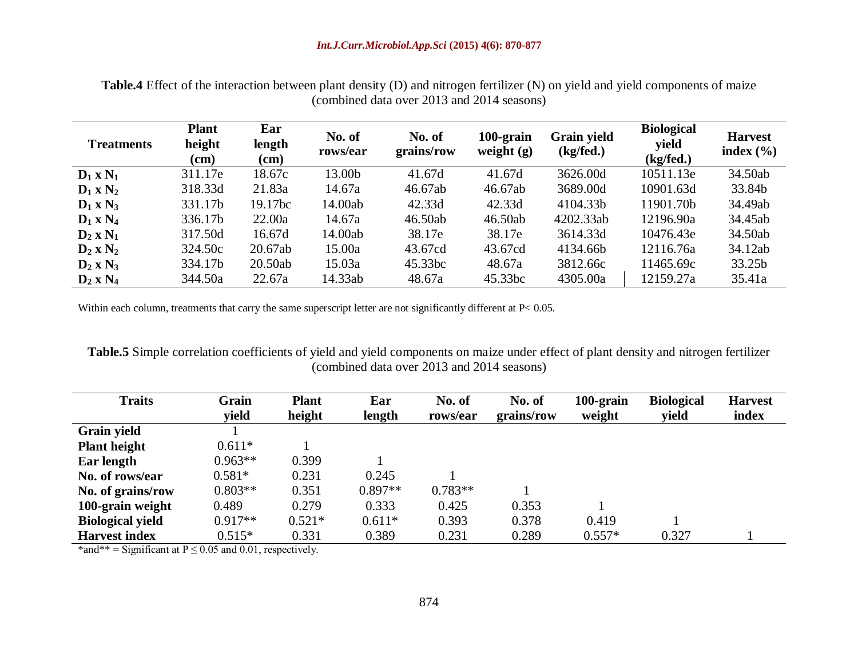**Table.4** Effect of the interaction between plant density (D) and nitrogen fertilizer (N) on yield and yield components of maize (combined data over 2013 and 2014 seasons)

| <b>Treatments</b> | <b>Plant</b><br>height<br>$\rm (cm)$ | Ear<br>length<br>$(cm)$ | No. of<br>rows/ear | No. of<br>grains/row | 100-grain<br>weight $(g)$ | <b>Grain yield</b><br>(kg/fed.) | <b>Biological</b><br>yield<br>(kg/fed.) | <b>Harvest</b><br>index $(\% )$ |
|-------------------|--------------------------------------|-------------------------|--------------------|----------------------|---------------------------|---------------------------------|-----------------------------------------|---------------------------------|
| $D_1 \times N_1$  | 311.17e                              | 18.67c                  | 13.00b             | 41.67d               | 41.67d                    | 3626.00d                        | 10511.13e                               | 34.50ab                         |
| $D_1 \times N_2$  | 318.33d                              | 21.83a                  | 14.67a             | 46.67ab              | 46.67ab                   | 3689.00d                        | 10901.63d                               | 33.84b                          |
| $D_1 \times N_3$  | 331.17b                              | 19.17bc                 | 14.00ab            | 42.33d               | 42.33d                    | 4104.33b                        | 11901.70b                               | 34.49ab                         |
| $D_1 \times N_4$  | 336.17b                              | 22.00a                  | 14.67a             | 46.50ab              | 46.50ab                   | 4202.33ab                       | 12196.90a                               | 34.45ab                         |
| $D_2 \times N_1$  | 317.50d                              | 16.67d                  | 14.00ab            | 38.17e               | 38.17e                    | 3614.33d                        | 10476.43e                               | 34.50ab                         |
| $D_2 \times N_2$  | 324.50c                              | 20.67ab                 | 15.00a             | 43.67cd              | 43.67cd                   | 4134.66b                        | 12116.76a                               | 34.12ab                         |
| $D_2 \times N_3$  | 334.17b                              | 20.50ab                 | 15.03a             | 45.33bc              | 48.67a                    | 3812.66c                        | 11465.69c                               | 33.25b                          |
| $D_2$ x $N_4$     | 344.50a                              | 22.67a                  | 14.33ab            | 48.67a               | 45.33bc                   | 4305.00a                        | 12159.27a                               | 35.41a                          |

Within each column, treatments that carry the same superscript letter are not significantly different at P< 0.05.

**Table.5** Simple correlation coefficients of yield and yield components on maize under effect of plant density and nitrogen fertilizer (combined data over 2013 and 2014 seasons)

| <b>Traits</b>           | Grain     | <b>Plant</b> | Ear       | No. of    | No. of     | $100$ -grain | <b>Biological</b> | <b>Harvest</b> |
|-------------------------|-----------|--------------|-----------|-----------|------------|--------------|-------------------|----------------|
|                         | yield     | height       | length    | rows/ear  | grains/row | weight       | yield             | index          |
| <b>Grain yield</b>      |           |              |           |           |            |              |                   |                |
| <b>Plant height</b>     | $0.611*$  |              |           |           |            |              |                   |                |
| Ear length              | $0.963**$ | 0.399        |           |           |            |              |                   |                |
| No. of rows/ear         | $0.581*$  | 0.231        | 0.245     |           |            |              |                   |                |
| No. of grains/row       | $0.803**$ | 0.351        | $0.897**$ | $0.783**$ |            |              |                   |                |
| 100-grain weight        | 0.489     | 0.279        | 0.333     | 0.425     | 0.353      |              |                   |                |
| <b>Biological yield</b> | $0.917**$ | $0.521*$     | $0.611*$  | 0.393     | 0.378      | 0.419        |                   |                |
| <b>Harvest index</b>    | $0.515*$  | 0.331        | 0.389     | 0.231     | 0.289      | $0.557*$     | 0.327             |                |

\*and\*\* = Significant at  $P \le 0.05$  and 0.01, respectively.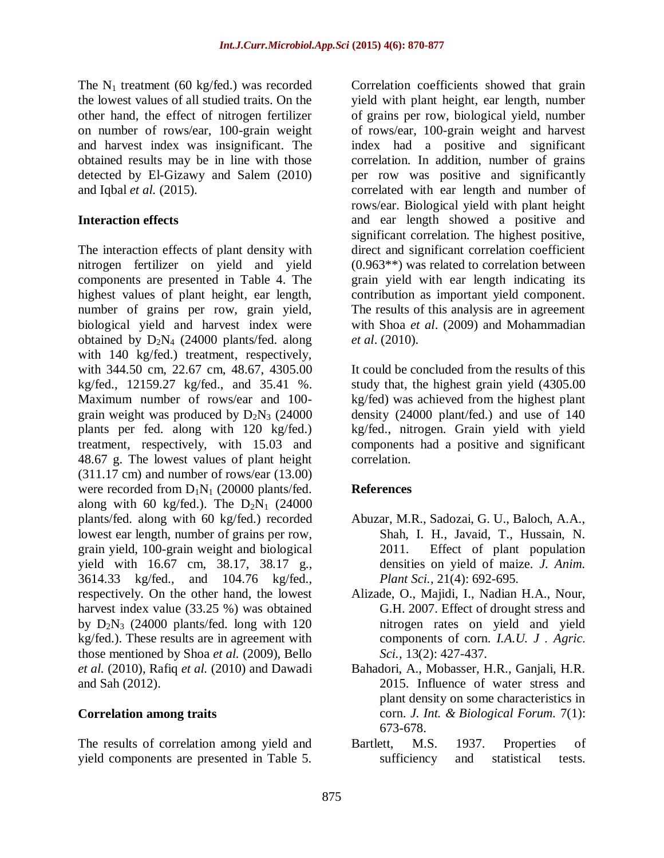The  $N_1$  treatment (60 kg/fed.) was recorded the lowest values of all studied traits. On the other hand, the effect of nitrogen fertilizer on number of rows/ear, 100-grain weight and harvest index was insignificant. The obtained results may be in line with those detected by El-Gizawy and Salem (2010) and Iqbal *et al.* (2015).

#### **Interaction effects**

The interaction effects of plant density with nitrogen fertilizer on yield and yield components are presented in Table 4. The highest values of plant height, ear length, number of grains per row, grain yield, biological yield and harvest index were obtained by  $D_2N_4$  (24000 plants/fed. along with 140 kg/fed.) treatment, respectively, with 344.50 cm, 22.67 cm, 48.67, 4305.00 kg/fed., 12159.27 kg/fed., and 35.41 %. Maximum number of rows/ear and 100 grain weight was produced by  $D_2N_3$  (24000) plants per fed. along with 120 kg/fed.) treatment, respectively, with 15.03 and 48.67 g. The lowest values of plant height (311.17 cm) and number of rows/ear (13.00) were recorded from  $D_1N_1$  (20000 plants/fed. along with 60 kg/fed.). The  $D_2N_1$  (24000 plants/fed. along with 60 kg/fed.) recorded lowest ear length, number of grains per row, grain yield, 100-grain weight and biological yield with 16.67 cm, 38.17, 38.17 g., 3614.33 kg/fed., and 104.76 kg/fed., respectively. On the other hand, the lowest harvest index value (33.25 %) was obtained by  $D_2N_3$  (24000 plants/fed. long with 120 kg/fed.). These results are in agreement with those mentioned by Shoa *et al.* (2009), Bello *et al.* (2010), Rafiq *et al.* (2010) and Dawadi and Sah (2012).

#### **Correlation among traits**

The results of correlation among yield and yield components are presented in Table 5. Correlation coefficients showed that grain yield with plant height, ear length, number of grains per row, biological yield, number of rows/ear, 100-grain weight and harvest index had a positive and significant correlation. In addition, number of grains per row was positive and significantly correlated with ear length and number of rows/ear. Biological yield with plant height and ear length showed a positive and significant correlation. The highest positive, direct and significant correlation coefficient (0.963\*\*) was related to correlation between grain yield with ear length indicating its contribution as important yield component. The results of this analysis are in agreement with Shoa *et al*. (2009) and Mohammadian *et al*. (2010).

It could be concluded from the results of this study that, the highest grain yield (4305.00 kg/fed) was achieved from the highest plant density (24000 plant/fed.) and use of 140 kg/fed., nitrogen. Grain yield with yield components had a positive and significant correlation.

## **References**

- Abuzar, M.R., Sadozai, G. U., Baloch, A.A., Shah, I. H., Javaid, T., Hussain, N. 2011. Effect of plant population densities on yield of maize*. J. Anim. Plant Sci.,* 21(4): 692-695.
- Alizade, O., Majidi, I., Nadian H.A., Nour, G.H. 2007. Effect of drought stress and nitrogen rates on yield and yield components of corn. *I.A.U. J* . *Agric*. *Sci.,* 13(2): 427-437.
- Bahadori, A., Mobasser, H.R., Ganjali, H.R. 2015. Influence of water stress and plant density on some characteristics in corn. *J. Int. & Biological Forum.* 7(1): 673-678.
- Bartlett, M.S. 1937. Properties of sufficiency and statistical tests.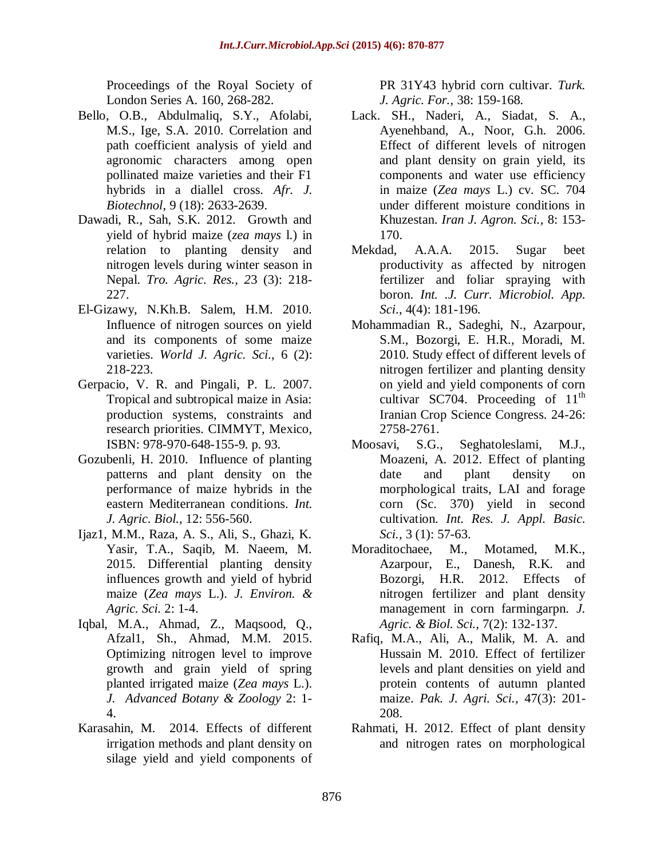Proceedings of the Royal Society of London Series A. 160, 268-282.

- Bello, O.B., Abdulmaliq, S.Y., Afolabi, M.S., Ige, S.A. 2010. Correlation and path coefficient analysis of yield and agronomic characters among open pollinated maize varieties and their F1 hybrids in a diallel cross. *Afr. J. Biotechnol,* 9 (18): 2633-2639.
- Dawadi, R., Sah, S.K. 2012. Growth and yield of hybrid maize (*zea mays* l.) in relation to planting density and nitrogen levels during winter season in Nepal. *Tro. Agric. Res., 2*3 (3): 218- 227.
- El-Gizawy, N.Kh.B. Salem, H.M. 2010. Influence of nitrogen sources on yield and its components of some maize varieties. *World J. Agric. Sci.,* 6 (2): 218-223.
- Gerpacio, V. R. and Pingali, P. L. 2007. Tropical and subtropical maize in Asia: production systems, constraints and research priorities. CIMMYT, Mexico, ISBN: 978-970-648-155-9. p. 93.
- Gozubenli, H. 2010. Influence of planting patterns and plant density on the performance of maize hybrids in the eastern Mediterranean conditions. *Int. J. Agric. Biol.,* 12: 556-560.
- Ijaz1, M.M., Raza, A. S., Ali, S., Ghazi, K. Yasir, T.A., Saqib, M. Naeem, M. 2015. Differential planting density influences growth and yield of hybrid maize (*Zea mays* L.). *J. Environ. & Agric. Sci.* 2: 1-4.
- Iqbal, M.A., Ahmad, Z., Maqsood, Q., Afzal1, Sh., Ahmad, M.M. 2015. Optimizing nitrogen level to improve growth and grain yield of spring planted irrigated maize (*Zea mays* L.). *J. Advanced Botany & Zoology* 2: 1- 4.
- Karasahin, M. 2014. Effects of different irrigation methods and plant density on silage yield and yield components of

PR 31Y43 hybrid corn cultivar. *Turk. J. Agric. For.,* 38: 159-168.

- Lack. SH., Naderi, A., Siadat, S. A., Ayenehband, A., Noor, G.h. 2006. Effect of different levels of nitrogen and plant density on grain yield, its components and water use efficiency in maize (*Zea mays* L.) cv. SC. 704 under different moisture conditions in Khuzestan. *Iran J. Agron. Sci.,* 8: 153- 170.
- Mekdad, A.A.A. 2015. Sugar beet productivity as affected by nitrogen fertilizer and foliar spraying with boron. *Int. .J. Curr. Microbiol. App. Sci*., 4(4): 181-196.
- Mohammadian R., Sadeghi, N., Azarpour, S.M., Bozorgi, E. H.R., Moradi, M. 2010. Study effect of different levels of nitrogen fertilizer and planting density on yield and yield components of corn cultivar SC704. Proceeding of  $11<sup>th</sup>$ Iranian Crop Science Congress. 24-26: 2758-2761.
- Moosavi, S.G., Seghatoleslami, M.J., Moazeni, A. 2012. Effect of planting date and plant density on morphological traits, LAI and forage corn (Sc. 370) yield in second cultivation. *Int. Res. J. Appl. Basic. Sci.,* 3 (1): 57-63.
- Moraditochaee, M., Motamed, M.K., Azarpour, E., Danesh, R.K. and Bozorgi, H.R. 2012. Effects of nitrogen fertilizer and plant density management in corn farmingarpn. *J. Agric. & Biol. Sci.,* 7(2): 132-137.
- Rafiq, M.A., Ali, A., Malik, M. A. and Hussain M. 2010. Effect of fertilizer levels and plant densities on yield and protein contents of autumn planted maize. *Pak. J. Agri. Sci.,* 47(3): 201- 208.
- Rahmati, H. 2012. Effect of plant density and nitrogen rates on morphological